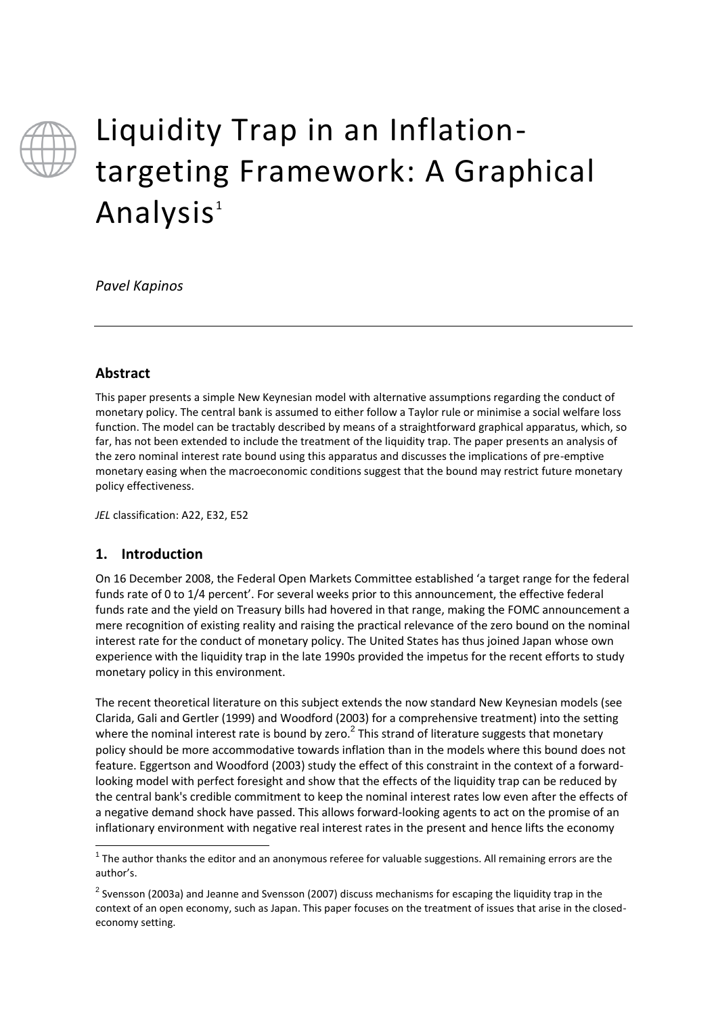

# Liquidity Trap in an Inflationtargeting Framework: A Graphical Analysis<sup>1</sup>

*Pavel Kapinos*

# **Abstract**

This paper presents a simple New Keynesian model with alternative assumptions regarding the conduct of monetary policy. The central bank is assumed to either follow a Taylor rule or minimise a social welfare loss function. The model can be tractably described by means of a straightforward graphical apparatus, which, so far, has not been extended to include the treatment of the liquidity trap. The paper presents an analysis of the zero nominal interest rate bound using this apparatus and discusses the implications of pre-emptive monetary easing when the macroeconomic conditions suggest that the bound may restrict future monetary policy effectiveness.

*JEL* classification: A22, E32, E52

# **1. Introduction**

 $\overline{a}$ 

On 16 December 2008, the Federal Open Markets Committee established 'a target range for the federal funds rate of 0 to 1/4 percent'. For several weeks prior to this announcement, the effective federal funds rate and the yield on Treasury bills had hovered in that range, making the FOMC announcement a mere recognition of existing reality and raising the practical relevance of the zero bound on the nominal interest rate for the conduct of monetary policy. The United States has thus joined Japan whose own experience with the liquidity trap in the late 1990s provided the impetus for the recent efforts to study monetary policy in this environment.

The recent theoretical literature on this subject extends the now standard New Keynesian models (see Clarida, Gali and Gertler (1999) and Woodford (2003) for a comprehensive treatment) into the setting where the nominal interest rate is bound by zero.<sup>2</sup> This strand of literature suggests that monetary policy should be more accommodative towards inflation than in the models where this bound does not feature. Eggertson and Woodford (2003) study the effect of this constraint in the context of a forwardlooking model with perfect foresight and show that the effects of the liquidity trap can be reduced by the central bank's credible commitment to keep the nominal interest rates low even after the effects of a negative demand shock have passed. This allows forward-looking agents to act on the promise of an inflationary environment with negative real interest rates in the present and hence lifts the economy

 $1$  The author thanks the editor and an anonymous referee for valuable suggestions. All remaining errors are the author's.

 $^2$  Svensson (2003a) and Jeanne and Svensson (2007) discuss mechanisms for escaping the liquidity trap in the context of an open economy, such as Japan. This paper focuses on the treatment of issues that arise in the closedeconomy setting.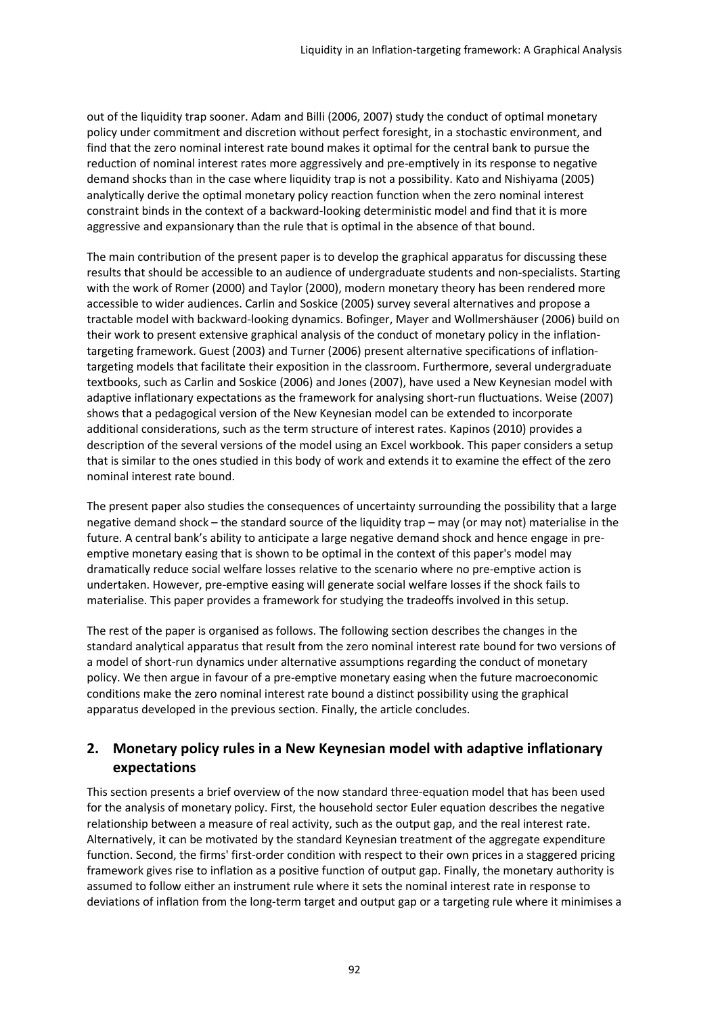out of the liquidity trap sooner. Adam and Billi (2006, 2007) study the conduct of optimal monetary policy under commitment and discretion without perfect foresight, in a stochastic environment, and find that the zero nominal interest rate bound makes it optimal for the central bank to pursue the reduction of nominal interest rates more aggressively and pre-emptively in its response to negative demand shocks than in the case where liquidity trap is not a possibility. Kato and Nishiyama (2005) analytically derive the optimal monetary policy reaction function when the zero nominal interest constraint binds in the context of a backward-looking deterministic model and find that it is more aggressive and expansionary than the rule that is optimal in the absence of that bound.

The main contribution of the present paper is to develop the graphical apparatus for discussing these results that should be accessible to an audience of undergraduate students and non-specialists. Starting with the work of Romer (2000) and Taylor (2000), modern monetary theory has been rendered more accessible to wider audiences. Carlin and Soskice (2005) survey several alternatives and propose a tractable model with backward-looking dynamics. Bofinger, Mayer and Wollmershäuser (2006) build on their work to present extensive graphical analysis of the conduct of monetary policy in the inflationtargeting framework. Guest (2003) and Turner (2006) present alternative specifications of inflationtargeting models that facilitate their exposition in the classroom. Furthermore, several undergraduate textbooks, such as Carlin and Soskice (2006) and Jones (2007), have used a New Keynesian model with adaptive inflationary expectations as the framework for analysing short-run fluctuations. Weise (2007) shows that a pedagogical version of the New Keynesian model can be extended to incorporate additional considerations, such as the term structure of interest rates. Kapinos (2010) provides a description of the several versions of the model using an Excel workbook. This paper considers a setup that is similar to the ones studied in this body of work and extends it to examine the effect of the zero nominal interest rate bound.

The present paper also studies the consequences of uncertainty surrounding the possibility that a large negative demand shock – the standard source of the liquidity trap – may (or may not) materialise in the future. A central bank's ability to anticipate a large negative demand shock and hence engage in preemptive monetary easing that is shown to be optimal in the context of this paper's model may dramatically reduce social welfare losses relative to the scenario where no pre-emptive action is undertaken. However, pre-emptive easing will generate social welfare losses if the shock fails to materialise. This paper provides a framework for studying the tradeoffs involved in this setup.

The rest of the paper is organised as follows. The following section describes the changes in the standard analytical apparatus that result from the zero nominal interest rate bound for two versions of a model of short-run dynamics under alternative assumptions regarding the conduct of monetary policy. We then argue in favour of a pre-emptive monetary easing when the future macroeconomic conditions make the zero nominal interest rate bound a distinct possibility using the graphical apparatus developed in the previous section. Finally, the article concludes.

# **2. Monetary policy rules in a New Keynesian model with adaptive inflationary expectations**

This section presents a brief overview of the now standard three-equation model that has been used for the analysis of monetary policy. First, the household sector Euler equation describes the negative relationship between a measure of real activity, such as the output gap, and the real interest rate. Alternatively, it can be motivated by the standard Keynesian treatment of the aggregate expenditure function. Second, the firms' first-order condition with respect to their own prices in a staggered pricing framework gives rise to inflation as a positive function of output gap. Finally, the monetary authority is assumed to follow either an instrument rule where it sets the nominal interest rate in response to deviations of inflation from the long-term target and output gap or a targeting rule where it minimises a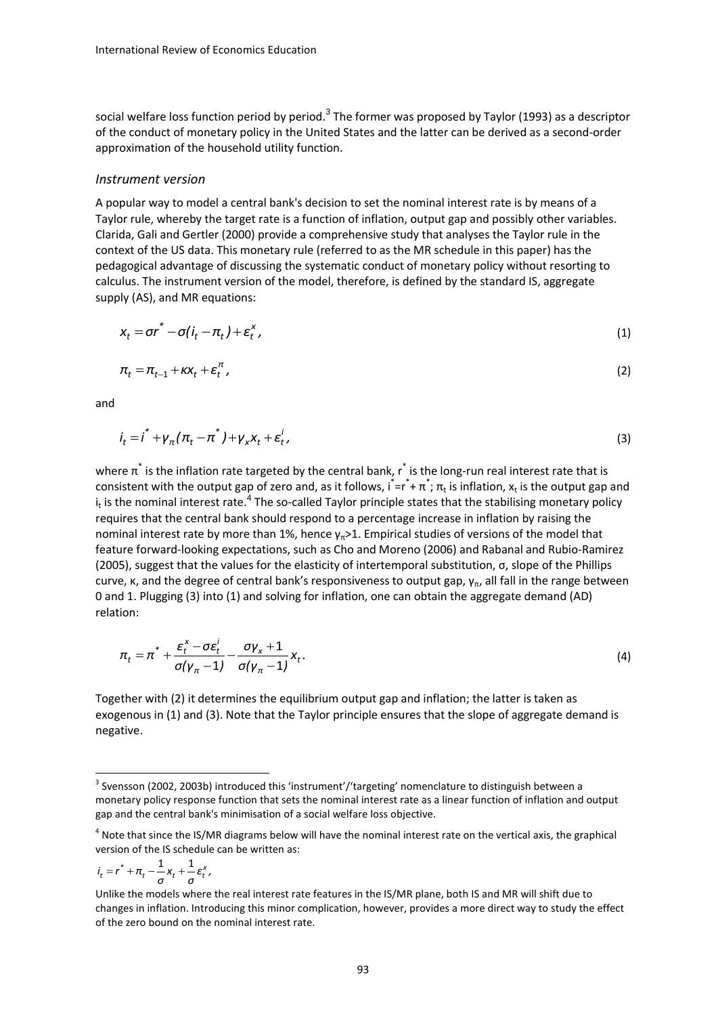social welfare loss function period by period.<sup>3</sup> The former was proposed by Taylor (1993) as a descriptor of the conduct of monetary policy in the United States and the latter can be derived as a second-order approximation of the household utility function.

#### *Instrument version*

A popular way to model a central bank's decision to set the nominal interest rate is by means of a Taylor rule, whereby the target rate is a function of inflation, output gap and possibly other variables. Clarida, Gali and Gertler (2000) provide a comprehensive study that analyses the Taylor rule in the context of the US data. This monetary rule (referred to as the MR schedule in this paper) has the pedagogical advantage of discussing the systematic conduct of monetary policy without resorting to calculus. The instrument version of the model, therefore, is defined by the standard IS, aggregate supply (AS), and MR equations:

$$
x_t = \sigma r^* - \sigma (i_t - \pi_t) + \varepsilon_t^x, \tag{1}
$$

$$
\pi_t = \pi_{t-1} + \kappa x_t + \varepsilon_t^{\pi},\tag{2}
$$

and

$$
i_t = i^* + \gamma_\pi (\pi_t - \pi^*) + \gamma_x x_t + \varepsilon_t^i,
$$
\n(3)

where  $\pi^*$  is the inflation rate targeted by the central bank,  $\mathsf{r}^*$  is the long-run real interest rate that is consistent with the output gap of zero and, as it follows,  $i^* = r^* + \pi^*$ ;  $\pi_t$  is inflation,  $x_t$  is the output gap and  $i_t$  is the nominal interest rate.<sup>4</sup> The so-called Taylor principle states that the stabilising monetary policy requires that the central bank should respond to a percentage increase in inflation by raising the nominal interest rate by more than 1%, hence  $\gamma_{\pi}$ >1. Empirical studies of versions of the model that feature forward-looking expectations, such as Cho and Moreno (2006) and Rabanal and Rubio-Ramirez (2005), suggest that the values for the elasticity of intertemporal substitution, σ, slope of the Phillips curve, κ, and the degree of central bank's responsiveness to output gap,  $γ<sub>π</sub>$ , all fall in the range between 0 and 1. Plugging (3) into (1) and solving for inflation, one can obtain the aggregate demand (AD) relation:

$$
\pi_t = \pi^* + \frac{\varepsilon_t^* - \sigma \varepsilon_t^i}{\sigma(\gamma_\pi - 1)} - \frac{\sigma \gamma_\times + 1}{\sigma(\gamma_\pi - 1)} x_t.
$$
\n(4)

Together with (2) it determines the equilibrium output gap and inflation; the latter is taken as exogenous in (1) and (3). Note that the Taylor principle ensures that the slope of aggregate demand is negative.

$$
i_t = r^* + \pi_t - \frac{1}{\sigma}x_t + \frac{1}{\sigma}\varepsilon_t^x,
$$

 $\overline{a}$ 

 $^3$  Svensson (2002, 2003b) introduced this 'instrument'/'targeting' nomenclature to distinguish between a monetary policy response function that sets the nominal interest rate as a linear function of inflation and output gap and the central bank's minimisation of a social welfare loss objective.

<sup>&</sup>lt;sup>4</sup> Note that since the IS/MR diagrams below will have the nominal interest rate on the vertical axis, the graphical version of the IS schedule can be written as:

Unlike the models where the real interest rate features in the IS/MR plane, both IS and MR will shift due to changes in inflation. Introducing this minor complication, however, provides a more direct way to study the effect of the zero bound on the nominal interest rate.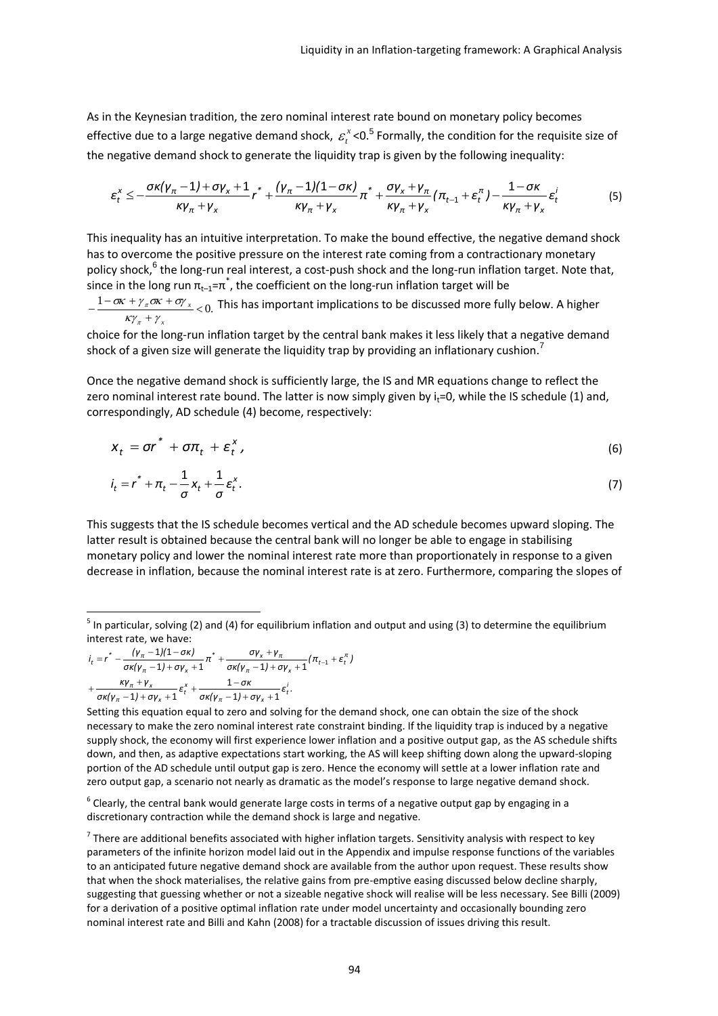As in the Keynesian tradition, the zero nominal interest rate bound on monetary policy becomes effective due to a large negative demand shock,  $\varepsilon_t^x$  $\varepsilon^{x}_{t}$  <0.<sup>5</sup> Formally, the condition for the requisite size of the negative demand shock to generate the liquidity trap is given by the following inequality:

negative demand shock to generate the liquidity trap is given by the following inequality:  
\n
$$
\varepsilon_t^x \le -\frac{\sigma \kappa (\gamma_\pi - 1) + \sigma \gamma_x + 1}{\kappa \gamma_\pi + \gamma_x} r^* + \frac{(\gamma_\pi - 1)(1 - \sigma \kappa)}{\kappa \gamma_\pi + \gamma_x} \pi^* + \frac{\sigma \gamma_x + \gamma_\pi}{\kappa \gamma_\pi + \gamma_x} (\pi_{t-1} + \varepsilon_t^\pi) - \frac{1 - \sigma \kappa}{\kappa \gamma_\pi + \gamma_x} \varepsilon_t^i
$$
\n(5)

This inequality has an intuitive interpretation. To make the bound effective, the negative demand shock has to overcome the positive pressure on the interest rate coming from a contractionary monetary policy shock, <sup>6</sup> the long-run real interest, a cost-push shock and the long-run inflation target. Note that, since in the long run  $\pi_{t-1}$ = $\pi^*$ , the coefficient on the long-run inflation target will be

 $-\frac{1-\sigma K+\gamma_\pi\sigma K+\sigma\gamma_\chi}{2}<0$ . This has important implications to be discussed more fully below. A higher  $K\gamma_\pi + \gamma_x$ 

choice for the long-run inflation target by the central bank makes it less likely that a negative demand shock of a given size will generate the liquidity trap by providing an inflationary cushion.<sup>7</sup>

Once the negative demand shock is sufficiently large, the IS and MR equations change to reflect the zero nominal interest rate bound. The latter is now simply given by  $i_t=0$ , while the IS schedule (1) and, correspondingly, AD schedule (4) become, respectively:

$$
x_t = \sigma r^* + \sigma \pi_t + \varepsilon_t^x, \tag{6}
$$

$$
i_t = r^* + \pi_t - \frac{1}{\sigma} x_t + \frac{1}{\sigma} \varepsilon_t^x. \tag{7}
$$

This suggests that the IS schedule becomes vertical and the AD schedule becomes upward sloping. The latter result is obtained because the central bank will no longer be able to engage in stabilising monetary policy and lower the nominal interest rate more than proportionately in response to a given decrease in inflation, because the nominal interest rate is at zero. Furthermore, comparing the slopes of

$$
i_t = r^* - \frac{(\gamma_{\pi} - 1)(1 - \sigma \kappa)}{\sigma \kappa (\gamma_{\pi} - 1) + \sigma \gamma_{\times} + 1} \pi^* + \frac{\sigma \gamma_{\times} + \gamma_{\pi}}{\sigma \kappa (\gamma_{\pi} - 1) + \sigma \gamma_{\times} + 1} (\pi_{t-1} + \varepsilon_t^{\pi})
$$
  
+ 
$$
\frac{\kappa \gamma_{\pi} + \gamma_{\times}}{\sigma \kappa (\gamma_{\pi} - 1) + \sigma \gamma_{\times} + 1} \varepsilon_t^{\kappa} + \frac{1 - \sigma \kappa}{\sigma \kappa (\gamma_{\pi} - 1) + \sigma \gamma_{\times} + 1} \varepsilon_t^{\kappa}.
$$

-

Setting this equation equal to zero and solving for the demand shock, one can obtain the size of the shock necessary to make the zero nominal interest rate constraint binding. If the liquidity trap is induced by a negative supply shock, the economy will first experience lower inflation and a positive output gap, as the AS schedule shifts down, and then, as adaptive expectations start working, the AS will keep shifting down along the upward-sloping portion of the AD schedule until output gap is zero. Hence the economy will settle at a lower inflation rate and zero output gap, a scenario not nearly as dramatic as the model's response to large negative demand shock.

 $^6$  Clearly, the central bank would generate large costs in terms of a negative output gap by engaging in a discretionary contraction while the demand shock is large and negative.

 $^7$  There are additional benefits associated with higher inflation targets. Sensitivity analysis with respect to key parameters of the infinite horizon model laid out in the Appendix and impulse response functions of the variables to an anticipated future negative demand shock are available from the author upon request. These results show that when the shock materialises, the relative gains from pre-emptive easing discussed below decline sharply, suggesting that guessing whether or not a sizeable negative shock will realise will be less necessary. See Billi (2009) for a derivation of a positive optimal inflation rate under model uncertainty and occasionally bounding zero nominal interest rate and Billi and Kahn (2008) for a tractable discussion of issues driving this result.

 $<sup>5</sup>$  In particular, solving (2) and (4) for equilibrium inflation and output and using (3) to determine the equilibrium</sup> interest rate, we have: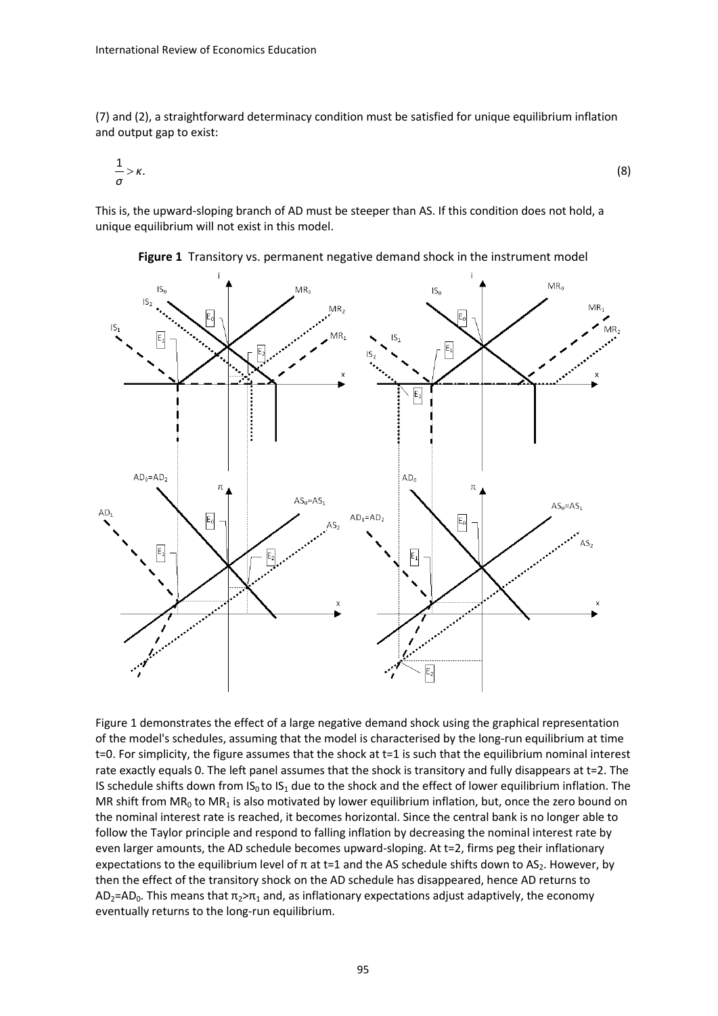(7) and (2), a straightforward determinacy condition must be satisfied for unique equilibrium inflation and output gap to exist:

$$
\frac{1}{\sigma} > \kappa. \tag{8}
$$

This is, the upward-sloping branch of AD must be steeper than AS. If this condition does not hold, a unique equilibrium will not exist in this model.



**Figure 1** Transitory vs. permanent negative demand shock in the instrument model

Figure 1 demonstrates the effect of a large negative demand shock using the graphical representation of the model's schedules, assuming that the model is characterised by the long-run equilibrium at time t=0. For simplicity, the figure assumes that the shock at t=1 is such that the equilibrium nominal interest rate exactly equals 0. The left panel assumes that the shock is transitory and fully disappears at t=2. The IS schedule shifts down from  $IS_0$  to  $IS_1$  due to the shock and the effect of lower equilibrium inflation. The MR shift from  $MR_0$  to  $MR_1$  is also motivated by lower equilibrium inflation, but, once the zero bound on the nominal interest rate is reached, it becomes horizontal. Since the central bank is no longer able to follow the Taylor principle and respond to falling inflation by decreasing the nominal interest rate by even larger amounts, the AD schedule becomes upward-sloping. At t=2, firms peg their inflationary expectations to the equilibrium level of  $\pi$  at t=1 and the AS schedule shifts down to AS<sub>2</sub>. However, by then the effect of the transitory shock on the AD schedule has disappeared, hence AD returns to  $AD_2=AD_0$ . This means that  $\pi_2 > \pi_1$  and, as inflationary expectations adjust adaptively, the economy eventually returns to the long-run equilibrium.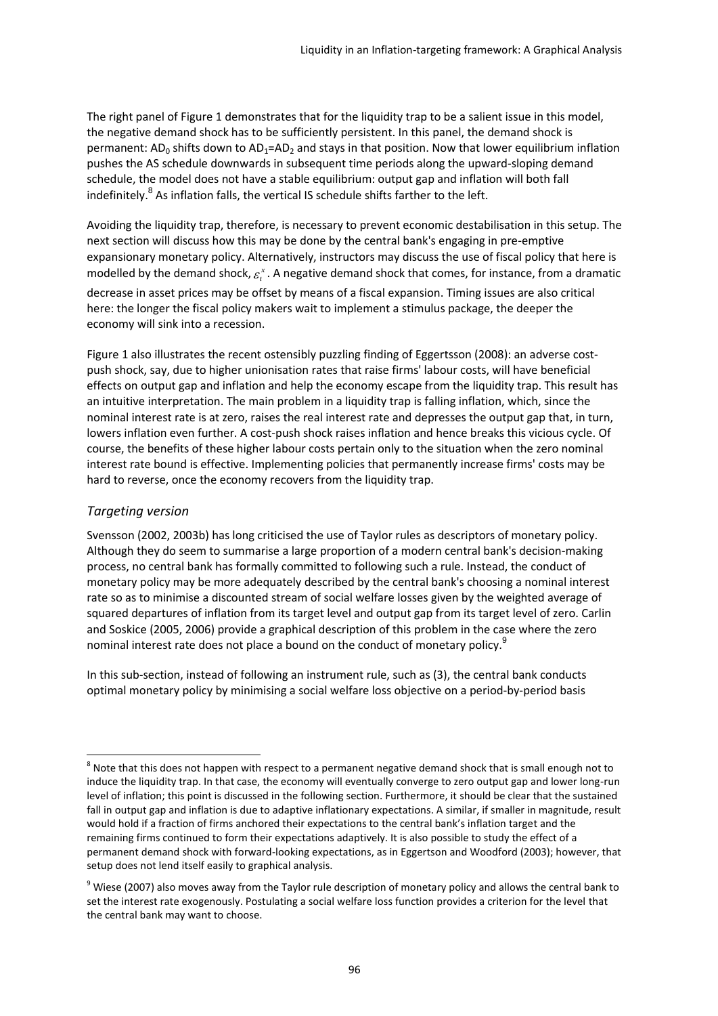The right panel of Figure 1 demonstrates that for the liquidity trap to be a salient issue in this model, the negative demand shock has to be sufficiently persistent. In this panel, the demand shock is permanent:  $AD_0$  shifts down to  $AD_1=AD_2$  and stays in that position. Now that lower equilibrium inflation pushes the AS schedule downwards in subsequent time periods along the upward-sloping demand schedule, the model does not have a stable equilibrium: output gap and inflation will both fall indefinitely.<sup>8</sup> As inflation falls, the vertical IS schedule shifts farther to the left.

Avoiding the liquidity trap, therefore, is necessary to prevent economic destabilisation in this setup. The next section will discuss how this may be done by the central bank's engaging in pre-emptive expansionary monetary policy. Alternatively, instructors may discuss the use of fiscal policy that here is modelled by the demand shock,  $\varepsilon_t^x$ . A negative demand shock that comes, for instance, from a dramatic decrease in asset prices may be offset by means of a fiscal expansion. Timing issues are also critical here: the longer the fiscal policy makers wait to implement a stimulus package, the deeper the economy will sink into a recession.

Figure 1 also illustrates the recent ostensibly puzzling finding of Eggertsson (2008): an adverse costpush shock, say, due to higher unionisation rates that raise firms' labour costs, will have beneficial effects on output gap and inflation and help the economy escape from the liquidity trap. This result has an intuitive interpretation. The main problem in a liquidity trap is falling inflation, which, since the nominal interest rate is at zero, raises the real interest rate and depresses the output gap that, in turn, lowers inflation even further. A cost-push shock raises inflation and hence breaks this vicious cycle. Of course, the benefits of these higher labour costs pertain only to the situation when the zero nominal interest rate bound is effective. Implementing policies that permanently increase firms' costs may be hard to reverse, once the economy recovers from the liquidity trap.

#### *Targeting version*

-

Svensson (2002, 2003b) has long criticised the use of Taylor rules as descriptors of monetary policy. Although they do seem to summarise a large proportion of a modern central bank's decision-making process, no central bank has formally committed to following such a rule. Instead, the conduct of monetary policy may be more adequately described by the central bank's choosing a nominal interest rate so as to minimise a discounted stream of social welfare losses given by the weighted average of squared departures of inflation from its target level and output gap from its target level of zero. Carlin and Soskice (2005, 2006) provide a graphical description of this problem in the case where the zero nominal interest rate does not place a bound on the conduct of monetary policy.<sup>9</sup>

In this sub-section, instead of following an instrument rule, such as (3), the central bank conducts optimal monetary policy by minimising a social welfare loss objective on a period-by-period basis

<sup>&</sup>lt;sup>8</sup> Note that this does not happen with respect to a permanent negative demand shock that is small enough not to induce the liquidity trap. In that case, the economy will eventually converge to zero output gap and lower long-run level of inflation; this point is discussed in the following section. Furthermore, it should be clear that the sustained fall in output gap and inflation is due to adaptive inflationary expectations. A similar, if smaller in magnitude, result would hold if a fraction of firms anchored their expectations to the central bank's inflation target and the remaining firms continued to form their expectations adaptively. It is also possible to study the effect of a permanent demand shock with forward-looking expectations, as in Eggertson and Woodford (2003); however, that setup does not lend itself easily to graphical analysis.

 $9$  Wiese (2007) also moves away from the Taylor rule description of monetary policy and allows the central bank to set the interest rate exogenously. Postulating a social welfare loss function provides a criterion for the level that the central bank may want to choose.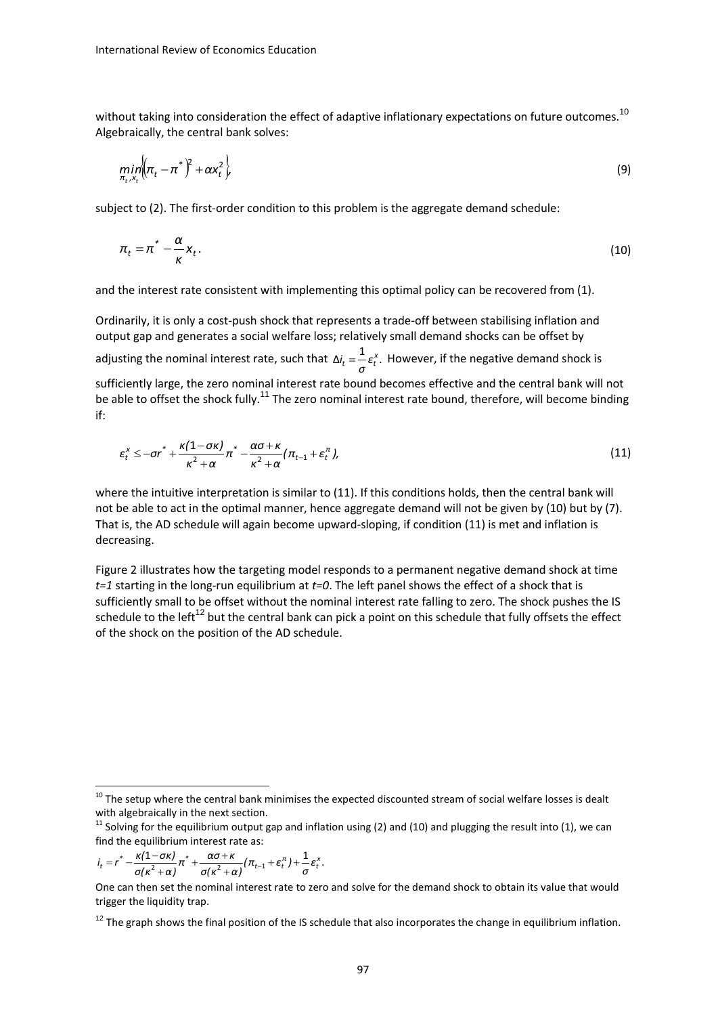without taking into consideration the effect of adaptive inflationary expectations on future outcomes.<sup>10</sup> Algebraically, the central bank solves:

$$
\min_{\pi_t, x_t} \left\{ \left( \pi_t - \pi^* \right)^2 + \alpha x_t^2 \right\} \tag{9}
$$

subject to (2). The first-order condition to this problem is the aggregate demand schedule:

$$
\pi_t = \pi^* - \frac{\alpha}{\kappa} x_t. \tag{10}
$$

and the interest rate consistent with implementing this optimal policy can be recovered from (1).

Ordinarily, it is only a cost-push shock that represents a trade-off between stabilising inflation and output gap and generates a social welfare loss; relatively small demand shocks can be offset by adjusting the nominal interest rate, such that  $\Delta t_t = \frac{1}{\sigma} \varepsilon_t^x$ .  $\Delta l_t = \frac{1}{\epsilon_t} \varepsilon_t^x$ . However, if the negative demand shock is sufficiently large, the zero nominal interest rate bound becomes effective and the central bank will not be able to offset the shock fully.<sup>11</sup> The zero nominal interest rate bound, therefore, will become binding if:

$$
\varepsilon_t^{\mathsf{x}} \leq -\sigma r^* + \frac{\kappa(1-\sigma\kappa)}{\kappa^2+\alpha} \pi^* - \frac{\alpha\sigma+\kappa}{\kappa^2+\alpha} (\pi_{t-1} + \varepsilon_t^{\pi}), \tag{11}
$$

where the intuitive interpretation is similar to (11). If this conditions holds, then the central bank will not be able to act in the optimal manner, hence aggregate demand will not be given by (10) but by (7). That is, the AD schedule will again become upward-sloping, if condition (11) is met and inflation is decreasing.

Figure 2 illustrates how the targeting model responds to a permanent negative demand shock at time *t=1* starting in the long-run equilibrium at *t=0*. The left panel shows the effect of a shock that is sufficiently small to be offset without the nominal interest rate falling to zero. The shock pushes the IS schedule to the left<sup>12</sup> but the central bank can pick a point on this schedule that fully offsets the effect of the shock on the position of the AD schedule.

$$
i_t = r^* - \frac{\kappa (1 - \sigma \kappa)}{\sigma(\kappa^2 + \alpha)} \pi^* + \frac{\alpha \sigma + \kappa}{\sigma(\kappa^2 + \alpha)} (\pi_{t-1} + \varepsilon_t^{\pi}) + \frac{1}{\sigma} \varepsilon_t^{\kappa}.
$$

 $10$  The setup where the central bank minimises the expected discounted stream of social welfare losses is dealt with algebraically in the next section.

 $11$  Solving for the equilibrium output gap and inflation using (2) and (10) and plugging the result into (1), we can find the equilibrium interest rate as:

One can then set the nominal interest rate to zero and solve for the demand shock to obtain its value that would trigger the liquidity trap.

 $12$  The graph shows the final position of the IS schedule that also incorporates the change in equilibrium inflation.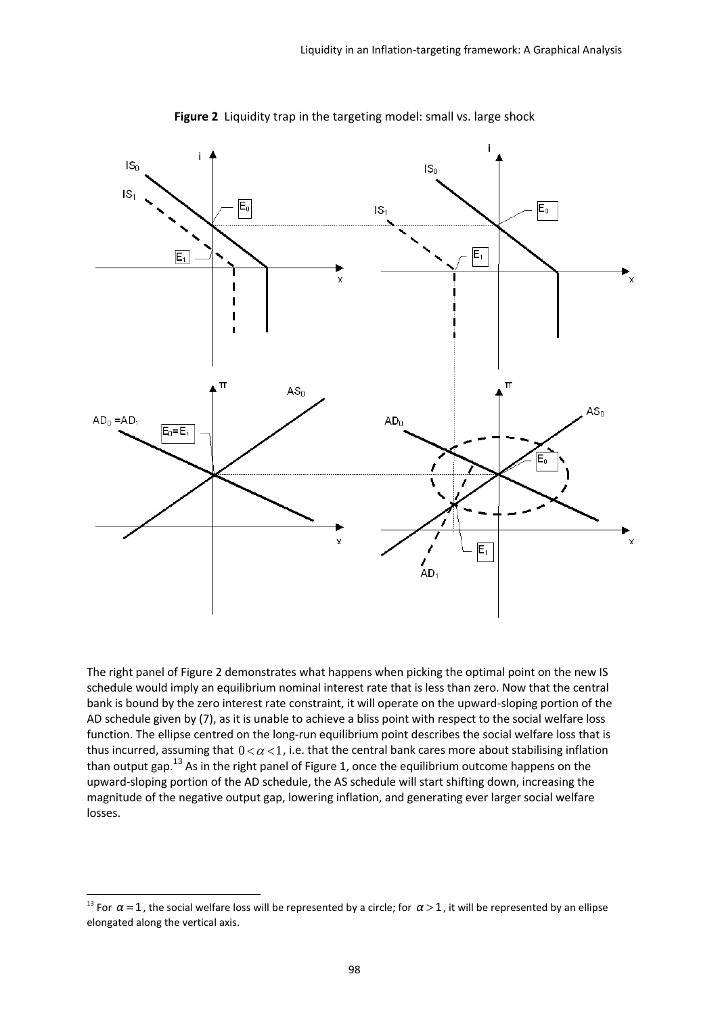

**Figure 2** Liquidity trap in the targeting model: small vs. large shock

The right panel of Figure 2 demonstrates what happens when picking the optimal point on the new IS schedule would imply an equilibrium nominal interest rate that is less than zero. Now that the central bank is bound by the zero interest rate constraint, it will operate on the upward-sloping portion of the AD schedule given by (7), as it is unable to achieve a bliss point with respect to the social welfare loss function. The ellipse centred on the long-run equilibrium point describes the social welfare loss that is thus incurred, assuming that  $0 < \alpha < 1$ , i.e. that the central bank cares more about stabilising inflation than output gap.<sup>13</sup> As in the right panel of Figure 1, once the equilibrium outcome happens on the upward-sloping portion of the AD schedule, the AS schedule will start shifting down, increasing the magnitude of the negative output gap, lowering inflation, and generating ever larger social welfare losses.

-

<sup>&</sup>lt;sup>13</sup> For  $\alpha$  = 1, the social welfare loss will be represented by a circle; for  $\alpha$  > 1, it will be represented by an ellipse elongated along the vertical axis.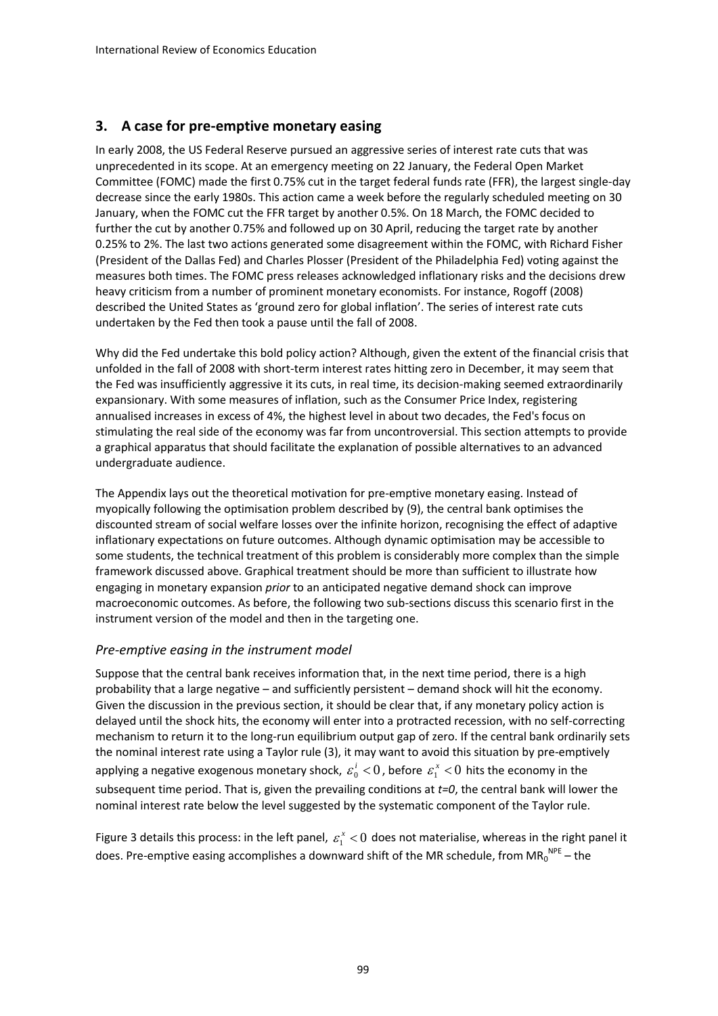# **3. A case for pre-emptive monetary easing**

In early 2008, the US Federal Reserve pursued an aggressive series of interest rate cuts that was unprecedented in its scope. At an emergency meeting on 22 January, the Federal Open Market Committee (FOMC) made the first 0.75% cut in the target federal funds rate (FFR), the largest single-day decrease since the early 1980s. This action came a week before the regularly scheduled meeting on 30 January, when the FOMC cut the FFR target by another 0.5%. On 18 March, the FOMC decided to further the cut by another 0.75% and followed up on 30 April, reducing the target rate by another 0.25% to 2%. The last two actions generated some disagreement within the FOMC, with Richard Fisher (President of the Dallas Fed) and Charles Plosser (President of the Philadelphia Fed) voting against the measures both times. The FOMC press releases acknowledged inflationary risks and the decisions drew heavy criticism from a number of prominent monetary economists. For instance, Rogoff (2008) described the United States as 'ground zero for global inflation'. The series of interest rate cuts undertaken by the Fed then took a pause until the fall of 2008.

Why did the Fed undertake this bold policy action? Although, given the extent of the financial crisis that unfolded in the fall of 2008 with short-term interest rates hitting zero in December, it may seem that the Fed was insufficiently aggressive it its cuts, in real time, its decision-making seemed extraordinarily expansionary. With some measures of inflation, such as the Consumer Price Index, registering annualised increases in excess of 4%, the highest level in about two decades, the Fed's focus on stimulating the real side of the economy was far from uncontroversial. This section attempts to provide a graphical apparatus that should facilitate the explanation of possible alternatives to an advanced undergraduate audience.

The Appendix lays out the theoretical motivation for pre-emptive monetary easing. Instead of myopically following the optimisation problem described by (9), the central bank optimises the discounted stream of social welfare losses over the infinite horizon, recognising the effect of adaptive inflationary expectations on future outcomes. Although dynamic optimisation may be accessible to some students, the technical treatment of this problem is considerably more complex than the simple framework discussed above. Graphical treatment should be more than sufficient to illustrate how engaging in monetary expansion *prior* to an anticipated negative demand shock can improve macroeconomic outcomes. As before, the following two sub-sections discuss this scenario first in the instrument version of the model and then in the targeting one.

### *Pre-emptive easing in the instrument model*

Suppose that the central bank receives information that, in the next time period, there is a high probability that a large negative – and sufficiently persistent – demand shock will hit the economy. Given the discussion in the previous section, it should be clear that, if any monetary policy action is delayed until the shock hits, the economy will enter into a protracted recession, with no self-correcting mechanism to return it to the long-run equilibrium output gap of zero. If the central bank ordinarily sets the nominal interest rate using a Taylor rule (3), it may want to avoid this situation by pre-emptively applying a negative exogenous monetary shock,  $\varepsilon_0^i$  < 0 , before  $\,\varepsilon_1^{\,x}$  < 0 hits the economy in the subsequent time period. That is, given the prevailing conditions at *t=0*, the central bank will lower the nominal interest rate below the level suggested by the systematic component of the Taylor rule.

Figure 3 details this process: in the left panel,  $\varepsilon_1^x < 0$  does not materialise, whereas in the right panel it does. Pre-emptive easing accomplishes a downward shift of the MR schedule, from MR $_0^{NPE}$  – the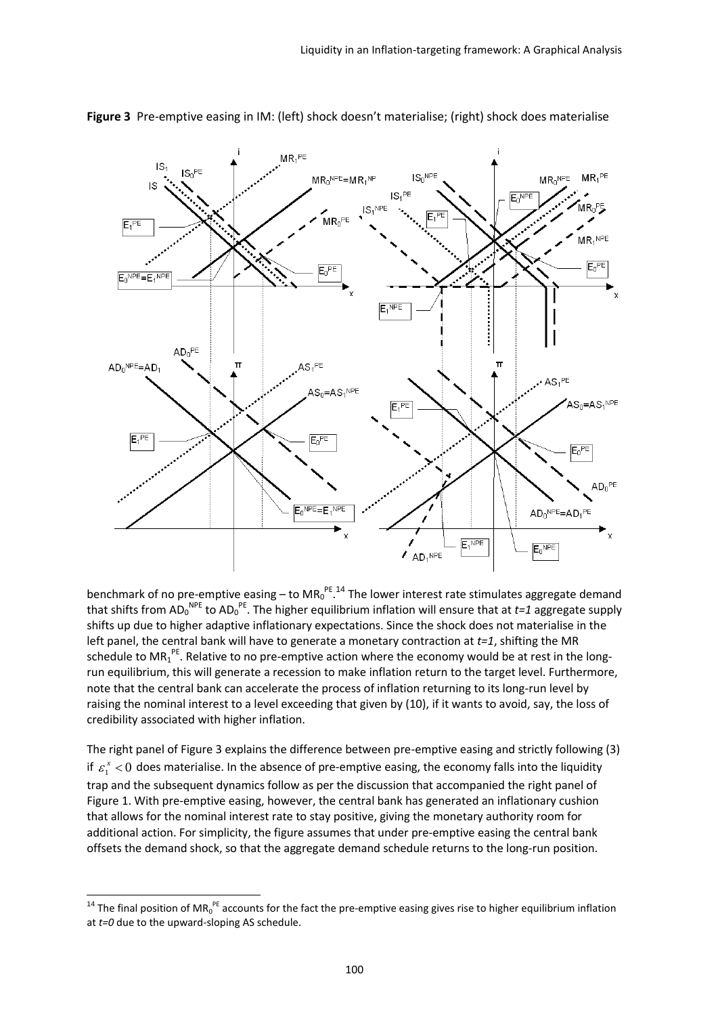

**Figure 3** Pre-emptive easing in IM: (left) shock doesn't materialise; (right) shock does materialise

benchmark of no pre-emptive easing – to MR<sub>0</sub><sup>PE</sup>.<sup>14</sup> The lower interest rate stimulates aggregate demand that shifts from AD<sub>0</sub><sup>NPE</sup> to AD<sub>0</sub><sup>PE</sup>. The higher equilibrium inflation will ensure that at *t=1* aggregate supply shifts up due to higher adaptive inflationary expectations. Since the shock does not materialise in the left panel, the central bank will have to generate a monetary contraction at *t=1*, shifting the MR schedule to MR<sub>1</sub><sup>PE</sup>. Relative to no pre-emptive action where the economy would be at rest in the longrun equilibrium, this will generate a recession to make inflation return to the target level. Furthermore, note that the central bank can accelerate the process of inflation returning to its long-run level by raising the nominal interest to a level exceeding that given by (10), if it wants to avoid, say, the loss of credibility associated with higher inflation.

The right panel of Figure 3 explains the difference between pre-emptive easing and strictly following (3) if  $\varepsilon_1^x$  < 0 does materialise. In the absence of pre-emptive easing, the economy falls into the liquidity trap and the subsequent dynamics follow as per the discussion that accompanied the right panel of Figure 1. With pre-emptive easing, however, the central bank has generated an inflationary cushion that allows for the nominal interest rate to stay positive, giving the monetary authority room for additional action. For simplicity, the figure assumes that under pre-emptive easing the central bank offsets the demand shock, so that the aggregate demand schedule returns to the long-run position.

-

<sup>&</sup>lt;sup>14</sup> The final position of MR<sub>0</sub><sup>PE</sup> accounts for the fact the pre-emptive easing gives rise to higher equilibrium inflation at *t=0* due to the upward-sloping AS schedule.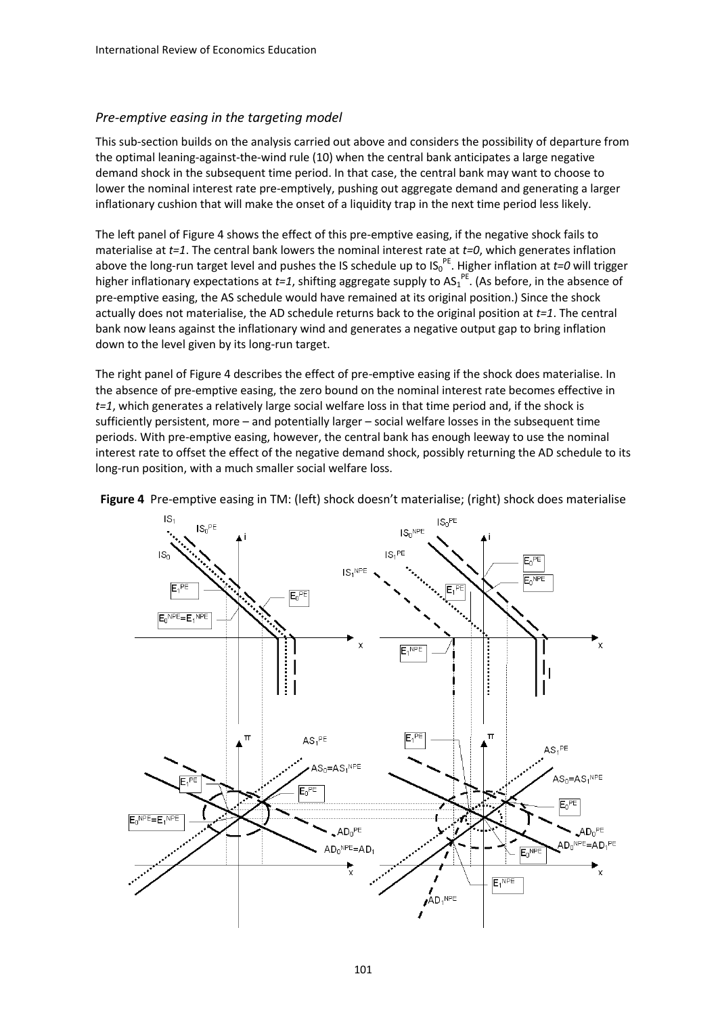#### *Pre-emptive easing in the targeting model*

This sub-section builds on the analysis carried out above and considers the possibility of departure from the optimal leaning-against-the-wind rule (10) when the central bank anticipates a large negative demand shock in the subsequent time period. In that case, the central bank may want to choose to lower the nominal interest rate pre-emptively, pushing out aggregate demand and generating a larger inflationary cushion that will make the onset of a liquidity trap in the next time period less likely.

The left panel of Figure 4 shows the effect of this pre-emptive easing, if the negative shock fails to materialise at *t=1*. The central bank lowers the nominal interest rate at *t=0*, which generates inflation above the long-run target level and pushes the IS schedule up to IS<sub>0</sub><sup>PE</sup>. Higher inflation at *t=0* will trigger higher inflationary expectations at *t=1*, shifting aggregate supply to AS<sub>1</sub><sup>PE</sup>. (As before, in the absence of pre-emptive easing, the AS schedule would have remained at its original position.) Since the shock actually does not materialise, the AD schedule returns back to the original position at *t=1*. The central bank now leans against the inflationary wind and generates a negative output gap to bring inflation down to the level given by its long-run target.

The right panel of Figure 4 describes the effect of pre-emptive easing if the shock does materialise. In the absence of pre-emptive easing, the zero bound on the nominal interest rate becomes effective in *t=1*, which generates a relatively large social welfare loss in that time period and, if the shock is sufficiently persistent, more – and potentially larger – social welfare losses in the subsequent time periods. With pre-emptive easing, however, the central bank has enough leeway to use the nominal interest rate to offset the effect of the negative demand shock, possibly returning the AD schedule to its long-run position, with a much smaller social welfare loss.



**Figure 4** Pre-emptive easing in TM: (left) shock doesn't materialise; (right) shock does materialise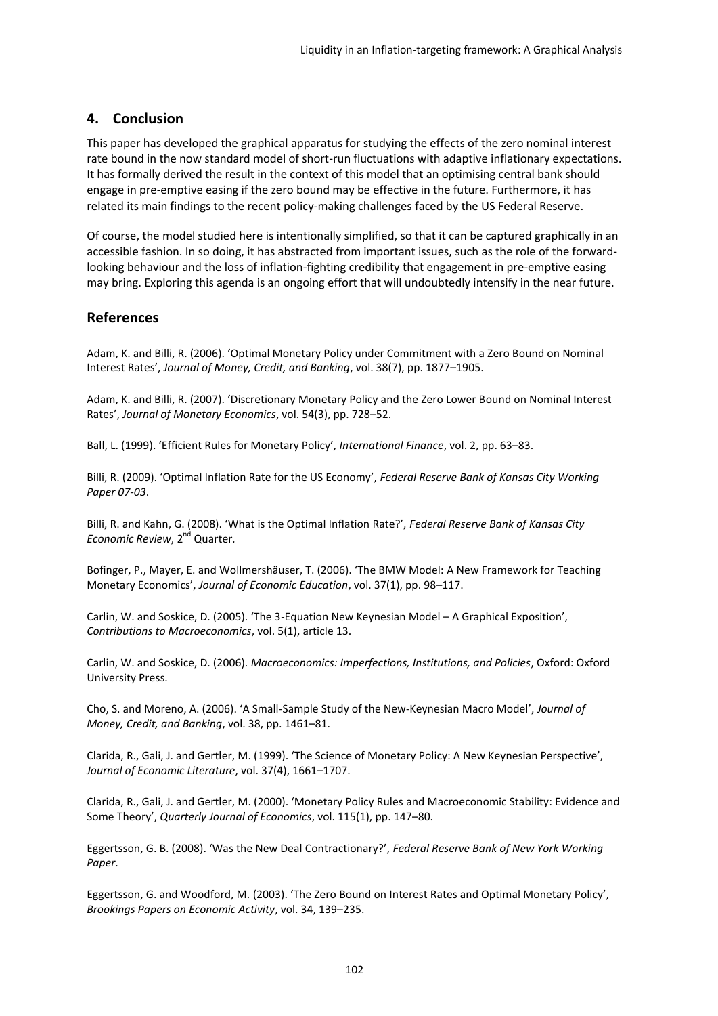#### **4. Conclusion**

This paper has developed the graphical apparatus for studying the effects of the zero nominal interest rate bound in the now standard model of short-run fluctuations with adaptive inflationary expectations. It has formally derived the result in the context of this model that an optimising central bank should engage in pre-emptive easing if the zero bound may be effective in the future. Furthermore, it has related its main findings to the recent policy-making challenges faced by the US Federal Reserve.

Of course, the model studied here is intentionally simplified, so that it can be captured graphically in an accessible fashion. In so doing, it has abstracted from important issues, such as the role of the forwardlooking behaviour and the loss of inflation-fighting credibility that engagement in pre-emptive easing may bring. Exploring this agenda is an ongoing effort that will undoubtedly intensify in the near future.

#### **References**

Adam, K. and Billi, R. (2006). 'Optimal Monetary Policy under Commitment with a Zero Bound on Nominal Interest Rates', *Journal of Money, Credit, and Banking*, vol. 38(7), pp. 1877–1905.

Adam, K. and Billi, R. (2007). 'Discretionary Monetary Policy and the Zero Lower Bound on Nominal Interest Rates', *Journal of Monetary Economics*, vol. 54(3), pp. 728–52.

Ball, L. (1999). 'Efficient Rules for Monetary Policy', *International Finance*, vol. 2, pp. 63–83.

Billi, R. (2009). 'Optimal Inflation Rate for the US Economy', *Federal Reserve Bank of Kansas City Working Paper 07-03*.

Billi, R. and Kahn, G. (2008). 'What is the Optimal Inflation Rate?', *Federal Reserve Bank of Kansas City Economic Review.* 2<sup>nd</sup> Quarter.

Bofinger, P., Mayer, E. and Wollmershäuser, T. (2006). 'The BMW Model: A New Framework for Teaching Monetary Economics', *Journal of Economic Education*, vol. 37(1), pp. 98–117.

Carlin, W. and Soskice, D. (2005). 'The 3-Equation New Keynesian Model – A Graphical Exposition', *Contributions to Macroeconomics*, vol. 5(1), article 13.

Carlin, W. and Soskice, D. (2006). *Macroeconomics: Imperfections, Institutions, and Policies*, Oxford: Oxford University Press.

Cho, S. and Moreno, A. (2006). 'A Small-Sample Study of the New-Keynesian Macro Model', *Journal of Money, Credit, and Banking*, vol. 38, pp. 1461–81.

Clarida, R., Gali, J. and Gertler, M. (1999). 'The Science of Monetary Policy: A New Keynesian Perspective', *Journal of Economic Literature*, vol. 37(4), 1661–1707.

Clarida, R., Gali, J. and Gertler, M. (2000). 'Monetary Policy Rules and Macroeconomic Stability: Evidence and Some Theory', *Quarterly Journal of Economics*, vol. 115(1), pp. 147–80.

Eggertsson, G. B. (2008). 'Was the New Deal Contractionary?', *Federal Reserve Bank of New York Working Paper*.

Eggertsson, G. and Woodford, M. (2003). 'The Zero Bound on Interest Rates and Optimal Monetary Policy', *Brookings Papers on Economic Activity*, vol. 34, 139–235.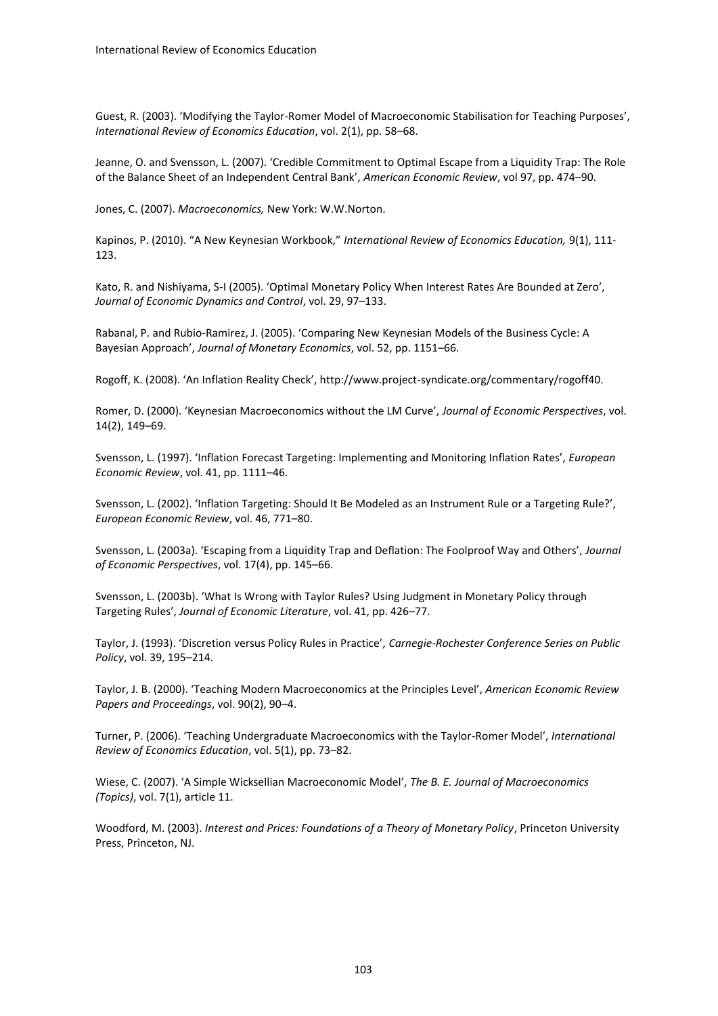Guest, R. (2003). 'Modifying the Taylor-Romer Model of Macroeconomic Stabilisation for Teaching Purposes', *International Review of Economics Education*, vol. 2(1), pp. 58–68.

Jeanne, O. and Svensson, L. (2007). 'Credible Commitment to Optimal Escape from a Liquidity Trap: The Role of the Balance Sheet of an Independent Central Bank', *American Economic Review*, vol 97, pp. 474–90.

Jones, C. (2007). *Macroeconomics,* New York: W.W.Norton.

Kapinos, P. (2010). "A New Keynesian Workbook," *International Review of Economics Education,* 9(1), 111- 123.

Kato, R. and Nishiyama, S-I (2005). 'Optimal Monetary Policy When Interest Rates Are Bounded at Zero', *Journal of Economic Dynamics and Control*, vol. 29, 97–133.

Rabanal, P. and Rubio-Ramirez, J. (2005). 'Comparing New Keynesian Models of the Business Cycle: A Bayesian Approach', *Journal of Monetary Economics*, vol. 52, pp. 1151–66.

Rogoff, K. (2008). 'An Inflation Reality Check', http://www.project-syndicate.org/commentary/rogoff40.

Romer, D. (2000). 'Keynesian Macroeconomics without the LM Curve', *Journal of Economic Perspectives*, vol. 14(2), 149–69.

Svensson, L. (1997). 'Inflation Forecast Targeting: Implementing and Monitoring Inflation Rates', *European Economic Review*, vol. 41, pp. 1111–46.

Svensson, L. (2002). 'Inflation Targeting: Should It Be Modeled as an Instrument Rule or a Targeting Rule?', *European Economic Review*, vol. 46, 771–80.

Svensson, L. (2003a). 'Escaping from a Liquidity Trap and Deflation: The Foolproof Way and Others', *Journal of Economic Perspectives*, vol. 17(4), pp. 145–66.

Svensson, L. (2003b). 'What Is Wrong with Taylor Rules? Using Judgment in Monetary Policy through Targeting Rules', *Journal of Economic Literature*, vol. 41, pp. 426–77.

Taylor, J. (1993). 'Discretion versus Policy Rules in Practice', *Carnegie-Rochester Conference Series on Public Policy*, vol. 39, 195–214.

Taylor, J. B. (2000). 'Teaching Modern Macroeconomics at the Principles Level', *American Economic Review Papers and Proceedings*, vol. 90(2), 90–4.

Turner, P. (2006). 'Teaching Undergraduate Macroeconomics with the Taylor-Romer Model', *International Review of Economics Education*, vol. 5(1), pp. 73–82.

Wiese, C. (2007). 'A Simple Wicksellian Macroeconomic Model', *The B. E. Journal of Macroeconomics (Topics)*, vol. 7(1), article 11.

Woodford, M. (2003). *Interest and Prices: Foundations of a Theory of Monetary Policy*, Princeton University Press, Princeton, NJ.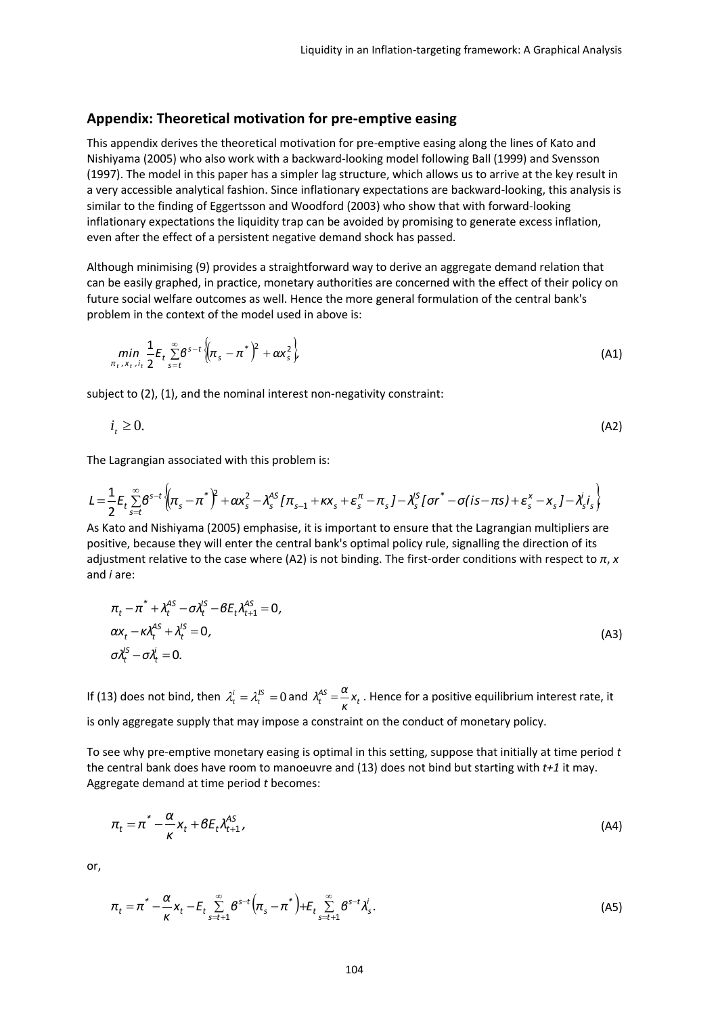#### **Appendix: Theoretical motivation for pre-emptive easing**

This appendix derives the theoretical motivation for pre-emptive easing along the lines of Kato and Nishiyama (2005) who also work with a backward-looking model following Ball (1999) and Svensson (1997). The model in this paper has a simpler lag structure, which allows us to arrive at the key result in a very accessible analytical fashion. Since inflationary expectations are backward-looking, this analysis is similar to the finding of Eggertsson and Woodford (2003) who show that with forward-looking inflationary expectations the liquidity trap can be avoided by promising to generate excess inflation, even after the effect of a persistent negative demand shock has passed.

Although minimising (9) provides a straightforward way to derive an aggregate demand relation that can be easily graphed, in practice, monetary authorities are concerned with the effect of their policy on future social welfare outcomes as well. Hence the more general formulation of the central bank's problem in the context of the model used in above is:

$$
\min_{\pi_t, x_t, i_t} \frac{1}{2} E_t \sum_{s=t}^{\infty} \theta^{s-t} \left\langle \pi_s - \pi^* \right\rangle^2 + \alpha x_s^2 \right\} \tag{A1}
$$

subject to (2), (1), and the nominal interest non-negativity constraint:

$$
i_{t} \geq 0. \tag{A2}
$$

The Lagrangian associated with this problem is:

The Lagrangian associated with this problem is:  
\n
$$
L = \frac{1}{2} E_t \sum_{s=t}^{\infty} \beta^{s-t} \left\{ \left( \pi_s - \pi^* \right)^2 + \alpha x_s^2 - \lambda_s^{4S} \left[ \pi_{s-1} + \kappa x_s + \varepsilon_s^{\pi} - \pi_s \right] - \lambda_s^{1S} \left[ \sigma r^* - \sigma (is - \pi s) + \varepsilon_s^{\times} - x_s \right] - \lambda_s^{1} i_s \right\}
$$

As Kato and Nishiyama (2005) emphasise, it is important to ensure that the Lagrangian multipliers are positive, because they will enter the central bank's optimal policy rule, signalling the direction of its adjustment relative to the case where (A2) is not binding. The first-order conditions with respect to *π*, *x* and *i* are:

$$
\pi_t - \pi^* + \lambda_t^{AS} - \sigma \lambda_t^{S} - \theta E_t \lambda_{t+1}^{AS} = 0,
$$
  
\n
$$
\alpha x_t - \kappa \lambda_t^{AS} + \lambda_t^{IS} = 0,
$$
  
\n
$$
\sigma \lambda_t^{S} - \sigma \lambda_t^{j} = 0.
$$
\n(A3)

If (13) does not bind, then  $\lambda_t^i = \lambda_t^{iS} = 0$  and  $\lambda_t^{AS} = \frac{\alpha}{\kappa} x_t$  $\lambda_t^{\text{AS}} = \frac{\alpha}{\lambda_t}$ . Hence for a positive equilibrium interest rate, it is only aggregate supply that may impose a constraint on the conduct of monetary policy.

To see why pre-emptive monetary easing is optimal in this setting, suppose that initially at time period *t* the central bank does have room to manoeuvre and (13) does not bind but starting with *t+1* it may. Aggregate demand at time period *t* becomes:

$$
\pi_t = \pi^* - \frac{\alpha}{\kappa} x_t + \beta E_t \lambda_{t+1}^{\text{AS}},
$$
\n(A4)

or,

$$
\pi_t = \pi^* - \frac{\alpha}{\kappa} x_t - E_t \sum_{s=t+1}^{\infty} \theta^{s-t} \left(\pi_s - \pi^*\right) + E_t \sum_{s=t+1}^{\infty} \theta^{s-t} \lambda_s^i.
$$
 (A5)